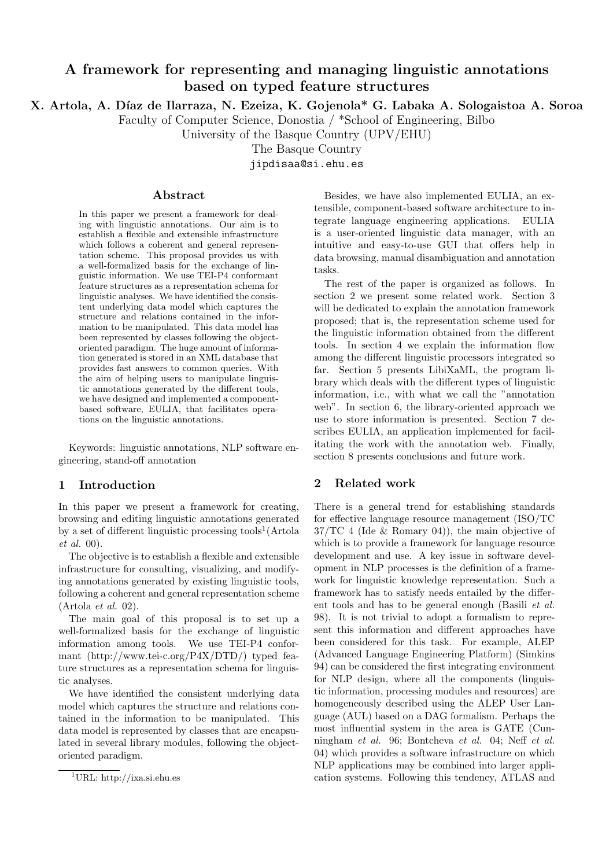# A framework for representing and managing linguistic annotations based on typed feature structures

X. Artola, A. Díaz de Ilarraza, N. Ezeiza, K. Gojenola\* G. Labaka A. Sologaistoa A. Soroa

Faculty of Computer Science, Donostia / \*School of Engineering, Bilbo

University of the Basque Country (UPV/EHU)

The Basque Country

jipdisaa@si.ehu.es

#### Abstract

In this paper we present a framework for dealing with linguistic annotations. Our aim is to establish a flexible and extensible infrastructure which follows a coherent and general representation scheme. This proposal provides us with a well-formalized basis for the exchange of linguistic information. We use TEI-P4 conformant feature structures as a representation schema for linguistic analyses. We have identified the consistent underlying data model which captures the structure and relations contained in the information to be manipulated. This data model has been represented by classes following the objectoriented paradigm. The huge amount of information generated is stored in an XML database that provides fast answers to common queries. With the aim of helping users to manipulate linguistic annotations generated by the different tools, we have designed and implemented a componentbased software, EULIA, that facilitates operations on the linguistic annotations.

Keywords: linguistic annotations, NLP software engineering, stand-off annotation

#### 1 Introduction

In this paper we present a framework for creating, browsing and editing linguistic annotations generated by a set of different linguistic processing tools<sup>1</sup>(Artola et al. 00).

The objective is to establish a flexible and extensible infrastructure for consulting, visualizing, and modifying annotations generated by existing linguistic tools, following a coherent and general representation scheme (Artola et al. 02).

The main goal of this proposal is to set up a well-formalized basis for the exchange of linguistic information among tools. We use TEI-P4 conformant (http://www.tei-c.org/P4X/DTD/) typed feature structures as a representation schema for linguistic analyses.

We have identified the consistent underlying data model which captures the structure and relations contained in the information to be manipulated. This data model is represented by classes that are encapsulated in several library modules, following the objectoriented paradigm.

Besides, we have also implemented EULIA, an extensible, component-based software architecture to integrate language engineering applications. EULIA is a user-oriented linguistic data manager, with an intuitive and easy-to-use GUI that offers help in data browsing, manual disambiguation and annotation tasks.

The rest of the paper is organized as follows. In section 2 we present some related work. Section 3 will be dedicated to explain the annotation framework proposed; that is, the representation scheme used for the linguistic information obtained from the different tools. In section 4 we explain the information flow among the different linguistic processors integrated so far. Section 5 presents LibiXaML, the program library which deals with the different types of linguistic information, i.e., with what we call the "annotation web". In section 6, the library-oriented approach we use to store information is presented. Section 7 describes EULIA, an application implemented for facilitating the work with the annotation web. Finally, section 8 presents conclusions and future work.

#### 2 Related work

There is a general trend for establishing standards for effective language resource management (ISO/TC 37/TC 4 (Ide & Romary 04)), the main objective of which is to provide a framework for language resource development and use. A key issue in software development in NLP processes is the definition of a framework for linguistic knowledge representation. Such a framework has to satisfy needs entailed by the different tools and has to be general enough (Basili et al. 98). It is not trivial to adopt a formalism to represent this information and different approaches have been considered for this task. For example, ALEP (Advanced Language Engineering Platform) (Simkins 94) can be considered the first integrating environment for NLP design, where all the components (linguistic information, processing modules and resources) are homogeneously described using the ALEP User Language (AUL) based on a DAG formalism. Perhaps the most influential system in the area is GATE (Cunningham et al. 96; Bontcheva et al. 04; Neff et al. 04) which provides a software infrastructure on which NLP applications may be combined into larger application systems. Following this tendency, ATLAS and

<sup>&</sup>lt;sup>1</sup>URL: http://ixa.si.ehu.es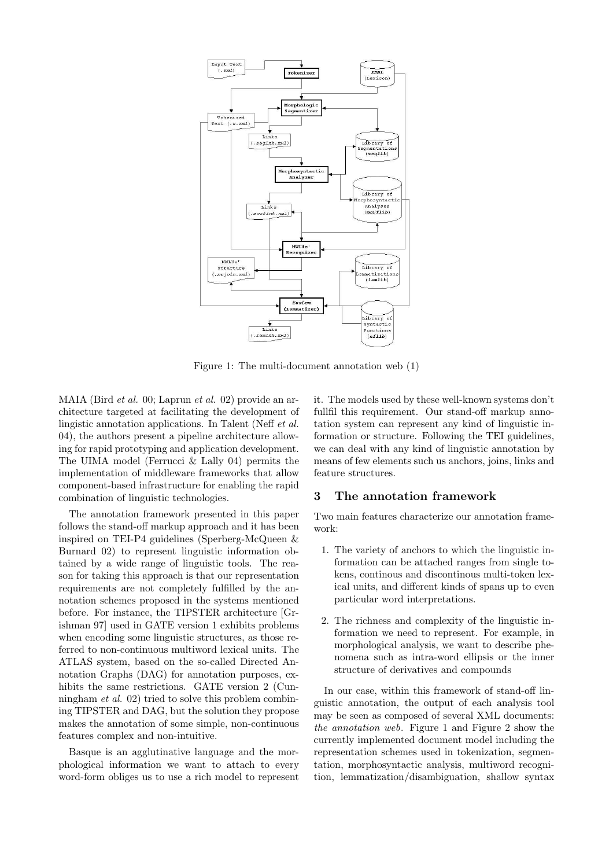

Figure 1: The multi-document annotation web (1)

MAIA (Bird et al. 00; Laprun et al. 02) provide an architecture targeted at facilitating the development of lingistic annotation applications. In Talent (Neff et al. 04), the authors present a pipeline architecture allowing for rapid prototyping and application development. The UIMA model (Ferrucci & Lally 04) permits the implementation of middleware frameworks that allow component-based infrastructure for enabling the rapid combination of linguistic technologies.

The annotation framework presented in this paper follows the stand-off markup approach and it has been inspired on TEI-P4 guidelines (Sperberg-McQueen & Burnard 02) to represent linguistic information obtained by a wide range of linguistic tools. The reason for taking this approach is that our representation requirements are not completely fulfilled by the annotation schemes proposed in the systems mentioned before. For instance, the TIPSTER architecture [Grishman 97] used in GATE version 1 exhibits problems when encoding some linguistic structures, as those referred to non-continuous multiword lexical units. The ATLAS system, based on the so-called Directed Annotation Graphs (DAG) for annotation purposes, exhibits the same restrictions. GATE version 2 (Cunningham et al. 02) tried to solve this problem combining TIPSTER and DAG, but the solution they propose makes the annotation of some simple, non-continuous features complex and non-intuitive.

Basque is an agglutinative language and the morphological information we want to attach to every word-form obliges us to use a rich model to represent it. The models used by these well-known systems don't fullfil this requirement. Our stand-off markup annotation system can represent any kind of linguistic information or structure. Following the TEI guidelines, we can deal with any kind of linguistic annotation by means of few elements such us anchors, joins, links and feature structures.

### 3 The annotation framework

Two main features characterize our annotation framework:

- 1. The variety of anchors to which the linguistic information can be attached ranges from single tokens, continous and discontinous multi-token lexical units, and different kinds of spans up to even particular word interpretations.
- 2. The richness and complexity of the linguistic information we need to represent. For example, in morphological analysis, we want to describe phenomena such as intra-word ellipsis or the inner structure of derivatives and compounds

In our case, within this framework of stand-off linguistic annotation, the output of each analysis tool may be seen as composed of several XML documents: the annotation web. Figure 1 and Figure 2 show the currently implemented document model including the representation schemes used in tokenization, segmentation, morphosyntactic analysis, multiword recognition, lemmatization/disambiguation, shallow syntax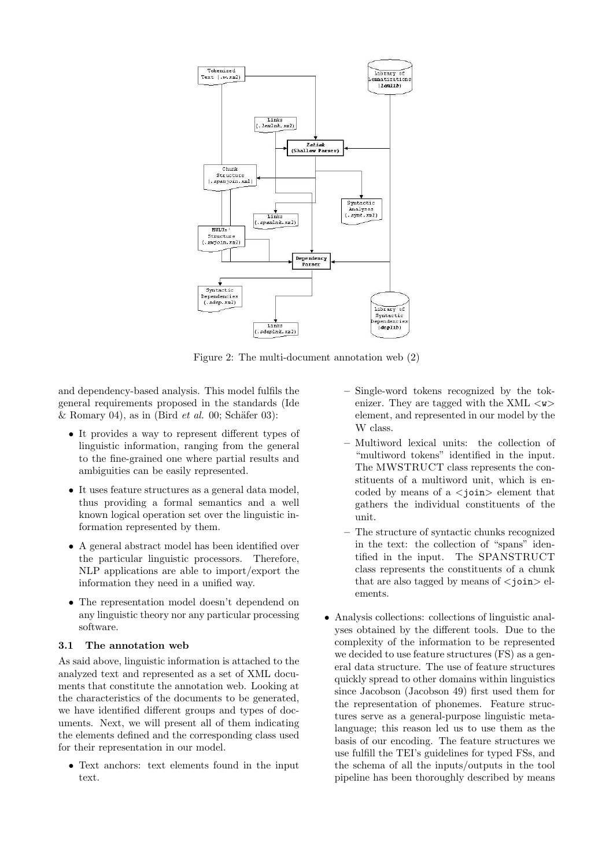

Figure 2: The multi-document annotation web (2)

and dependency-based analysis. This model fulfils the general requirements proposed in the standards (Ide & Romary 04), as in (Bird *et al.* 00; Schäfer 03):

- It provides a way to represent different types of linguistic information, ranging from the general to the fine-grained one where partial results and ambiguities can be easily represented.
- It uses feature structures as a general data model, thus providing a formal semantics and a well known logical operation set over the linguistic information represented by them.
- A general abstract model has been identified over the particular linguistic processors. Therefore, NLP applications are able to import/export the information they need in a unified way.
- The representation model doesn't dependend on any linguistic theory nor any particular processing software.

#### 3.1 The annotation web

As said above, linguistic information is attached to the analyzed text and represented as a set of XML documents that constitute the annotation web. Looking at the characteristics of the documents to be generated, we have identified different groups and types of documents. Next, we will present all of them indicating the elements defined and the corresponding class used for their representation in our model.

• Text anchors: text elements found in the input text.

- Single-word tokens recognized by the tokenizer. They are tagged with the XML  $\langle w \rangle$ element, and represented in our model by the W class.
- Multiword lexical units: the collection of "multiword tokens" identified in the input. The MWSTRUCT class represents the constituents of a multiword unit, which is encoded by means of a  $\langle$ ioin $\rangle$  element that gathers the individual constituents of the unit.
- The structure of syntactic chunks recognized in the text: the collection of "spans" identified in the input. The SPANSTRUCT class represents the constituents of a chunk that are also tagged by means of  $\langle$ join $\rangle$  elements.
- Analysis collections: collections of linguistic analyses obtained by the different tools. Due to the complexity of the information to be represented we decided to use feature structures (FS) as a general data structure. The use of feature structures quickly spread to other domains within linguistics since Jacobson (Jacobson 49) first used them for the representation of phonemes. Feature structures serve as a general-purpose linguistic metalanguage; this reason led us to use them as the basis of our encoding. The feature structures we use fulfill the TEI's guidelines for typed FSs, and the schema of all the inputs/outputs in the tool pipeline has been thoroughly described by means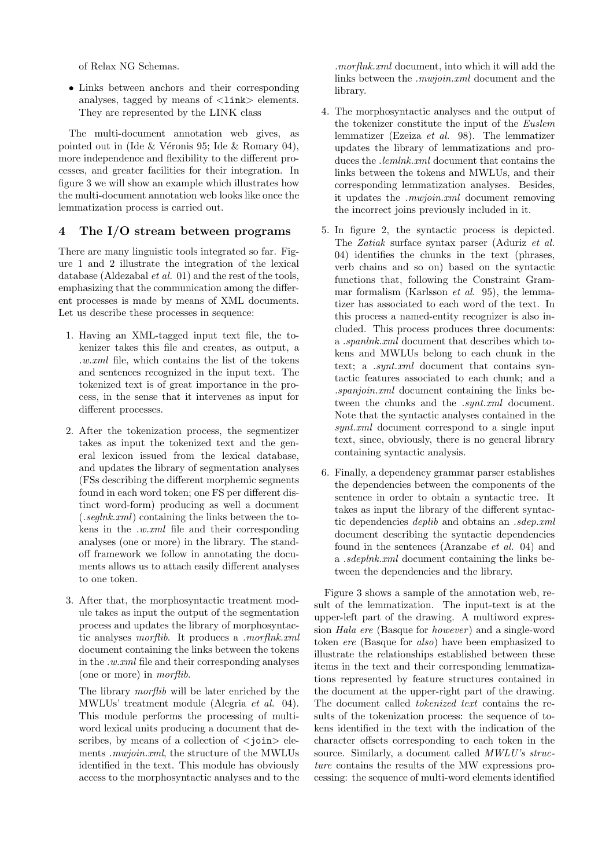of Relax NG Schemas.

• Links between anchors and their corresponding analyses, tagged by means of  $\langle$ link $\rangle$  elements. They are represented by the LINK class

The multi-document annotation web gives, as pointed out in (Ide  $&$  Véronis 95; Ide  $&$  Romary 04), more independence and flexibility to the different processes, and greater facilities for their integration. In figure 3 we will show an example which illustrates how the multi-document annotation web looks like once the lemmatization process is carried out.

#### 4 The I/O stream between programs

There are many linguistic tools integrated so far. Figure 1 and 2 illustrate the integration of the lexical database (Aldezabal et al. 01) and the rest of the tools, emphasizing that the communication among the different processes is made by means of XML documents. Let us describe these processes in sequence:

- 1. Having an XML-tagged input text file, the tokenizer takes this file and creates, as output, a .w.xml file, which contains the list of the tokens and sentences recognized in the input text. The tokenized text is of great importance in the process, in the sense that it intervenes as input for different processes.
- 2. After the tokenization process, the segmentizer takes as input the tokenized text and the general lexicon issued from the lexical database, and updates the library of segmentation analyses (FSs describing the different morphemic segments found in each word token; one FS per different distinct word-form) producing as well a document (.seglnk.xml) containing the links between the tokens in the .w.xml file and their corresponding analyses (one or more) in the library. The standoff framework we follow in annotating the documents allows us to attach easily different analyses to one token.
- 3. After that, the morphosyntactic treatment module takes as input the output of the segmentation process and updates the library of morphosyntactic analyses morflib. It produces a .morflnk.xml document containing the links between the tokens in the .w.xml file and their corresponding analyses (one or more) in morflib.

The library *morflib* will be later enriched by the MWLUs' treatment module (Alegria et al. 04). This module performs the processing of multiword lexical units producing a document that describes, by means of a collection of  $\langle$  join $\rangle$  elements .mwjoin.xml, the structure of the MWLUs identified in the text. This module has obviously access to the morphosyntactic analyses and to the

.morflnk.xml document, into which it will add the links between the .mwjoin.xml document and the library.

- 4. The morphosyntactic analyses and the output of the tokenizer constitute the input of the Euslem lemmatizer (Ezeiza et al. 98). The lemmatizer updates the library of lemmatizations and produces the *lemlnk.xml* document that contains the links between the tokens and MWLUs, and their corresponding lemmatization analyses. Besides, it updates the .mwjoin.xml document removing the incorrect joins previously included in it.
- 5. In figure 2, the syntactic process is depicted. The Zatiak surface syntax parser (Aduriz et al. 04) identifies the chunks in the text (phrases, verb chains and so on) based on the syntactic functions that, following the Constraint Grammar formalism (Karlsson et al. 95), the lemmatizer has associated to each word of the text. In this process a named-entity recognizer is also included. This process produces three documents: a .spanlnk.xml document that describes which tokens and MWLUs belong to each chunk in the text; a *synt.xml* document that contains syntactic features associated to each chunk; and a .spanjoin.xml document containing the links between the chunks and the *synt.xml* document. Note that the syntactic analyses contained in the synt.xml document correspond to a single input text, since, obviously, there is no general library containing syntactic analysis.
- 6. Finally, a dependency grammar parser establishes the dependencies between the components of the sentence in order to obtain a syntactic tree. It takes as input the library of the different syntactic dependencies deplib and obtains an .sdep.xml document describing the syntactic dependencies found in the sentences (Aranzabe et al. 04) and a .sdeplnk.xml document containing the links between the dependencies and the library.

Figure 3 shows a sample of the annotation web, result of the lemmatization. The input-text is at the upper-left part of the drawing. A multiword expression *Hala ere* (Basque for *however*) and a single-word token ere (Basque for also) have been emphasized to illustrate the relationships established between these items in the text and their corresponding lemmatizations represented by feature structures contained in the document at the upper-right part of the drawing. The document called tokenized text contains the results of the tokenization process: the sequence of tokens identified in the text with the indication of the character offsets corresponding to each token in the source. Similarly, a document called  $MWLU's$  structure contains the results of the MW expressions processing: the sequence of multi-word elements identified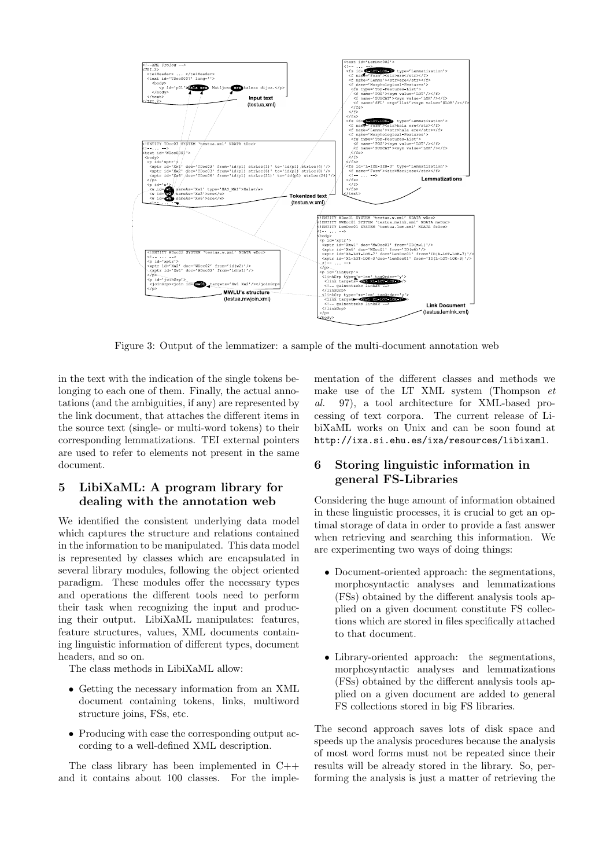

Figure 3: Output of the lemmatizer: a sample of the multi-document annotation web

in the text with the indication of the single tokens belonging to each one of them. Finally, the actual annotations (and the ambiguities, if any) are represented by the link document, that attaches the different items in the source text (single- or multi-word tokens) to their corresponding lemmatizations. TEI external pointers are used to refer to elements not present in the same document.

## 5 LibiXaML: A program library for dealing with the annotation web

We identified the consistent underlying data model which captures the structure and relations contained in the information to be manipulated. This data model is represented by classes which are encapsulated in several library modules, following the object oriented paradigm. These modules offer the necessary types and operations the different tools need to perform their task when recognizing the input and producing their output. LibiXaML manipulates: features, feature structures, values, XML documents containing linguistic information of different types, document headers, and so on.

The class methods in LibiXaML allow:

- Getting the necessary information from an XML document containing tokens, links, multiword structure joins, FSs, etc.
- Producing with ease the corresponding output according to a well-defined XML description.

The class library has been implemented in C++ and it contains about 100 classes. For the imple-

mentation of the different classes and methods we make use of the LT XML system (Thompson  $et$ al. 97), a tool architecture for XML-based processing of text corpora. The current release of LibiXaML works on Unix and can be soon found at http://ixa.si.ehu.es/ixa/resources/libixaml.

## 6 Storing linguistic information in general FS-Libraries

Considering the huge amount of information obtained in these linguistic processes, it is crucial to get an optimal storage of data in order to provide a fast answer when retrieving and searching this information. We are experimenting two ways of doing things:

- Document-oriented approach: the segmentations, morphosyntactic analyses and lemmatizations (FSs) obtained by the different analysis tools applied on a given document constitute FS collections which are stored in files specifically attached to that document.
- Library-oriented approach: the segmentations, morphosyntactic analyses and lemmatizations (FSs) obtained by the different analysis tools applied on a given document are added to general FS collections stored in big FS libraries.

The second approach saves lots of disk space and speeds up the analysis procedures because the analysis of most word forms must not be repeated since their results will be already stored in the library. So, performing the analysis is just a matter of retrieving the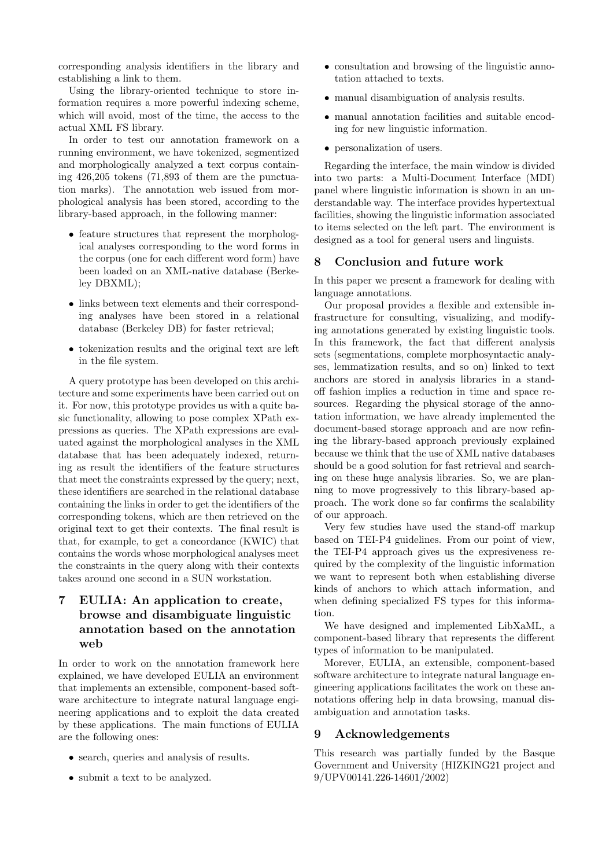corresponding analysis identifiers in the library and establishing a link to them.

Using the library-oriented technique to store information requires a more powerful indexing scheme, which will avoid, most of the time, the access to the actual XML FS library.

In order to test our annotation framework on a running environment, we have tokenized, segmentized and morphologically analyzed a text corpus containing 426,205 tokens (71,893 of them are the punctuation marks). The annotation web issued from morphological analysis has been stored, according to the library-based approach, in the following manner:

- feature structures that represent the morphological analyses corresponding to the word forms in the corpus (one for each different word form) have been loaded on an XML-native database (Berkeley DBXML);
- links between text elements and their corresponding analyses have been stored in a relational database (Berkeley DB) for faster retrieval;
- tokenization results and the original text are left in the file system.

A query prototype has been developed on this architecture and some experiments have been carried out on it. For now, this prototype provides us with a quite basic functionality, allowing to pose complex XPath expressions as queries. The XPath expressions are evaluated against the morphological analyses in the XML database that has been adequately indexed, returning as result the identifiers of the feature structures that meet the constraints expressed by the query; next, these identifiers are searched in the relational database containing the links in order to get the identifiers of the corresponding tokens, which are then retrieved on the original text to get their contexts. The final result is that, for example, to get a concordance (KWIC) that contains the words whose morphological analyses meet the constraints in the query along with their contexts takes around one second in a SUN workstation.

# 7 EULIA: An application to create, browse and disambiguate linguistic annotation based on the annotation web

In order to work on the annotation framework here explained, we have developed EULIA an environment that implements an extensible, component-based software architecture to integrate natural language engineering applications and to exploit the data created by these applications. The main functions of EULIA are the following ones:

- search, queries and analysis of results.
- submit a text to be analyzed.
- consultation and browsing of the linguistic annotation attached to texts.
- manual disambiguation of analysis results.
- manual annotation facilities and suitable encoding for new linguistic information.
- personalization of users.

Regarding the interface, the main window is divided into two parts: a Multi-Document Interface (MDI) panel where linguistic information is shown in an understandable way. The interface provides hypertextual facilities, showing the linguistic information associated to items selected on the left part. The environment is designed as a tool for general users and linguists.

#### 8 Conclusion and future work

In this paper we present a framework for dealing with language annotations.

Our proposal provides a flexible and extensible infrastructure for consulting, visualizing, and modifying annotations generated by existing linguistic tools. In this framework, the fact that different analysis sets (segmentations, complete morphosyntactic analyses, lemmatization results, and so on) linked to text anchors are stored in analysis libraries in a standoff fashion implies a reduction in time and space resources. Regarding the physical storage of the annotation information, we have already implemented the document-based storage approach and are now refining the library-based approach previously explained because we think that the use of XML native databases should be a good solution for fast retrieval and searching on these huge analysis libraries. So, we are planning to move progressively to this library-based approach. The work done so far confirms the scalability of our approach.

Very few studies have used the stand-off markup based on TEI-P4 guidelines. From our point of view, the TEI-P4 approach gives us the expresiveness required by the complexity of the linguistic information we want to represent both when establishing diverse kinds of anchors to which attach information, and when defining specialized FS types for this information.

We have designed and implemented LibXaML, a component-based library that represents the different types of information to be manipulated.

Morever, EULIA, an extensible, component-based software architecture to integrate natural language engineering applications facilitates the work on these annotations offering help in data browsing, manual disambiguation and annotation tasks.

#### 9 Acknowledgements

This research was partially funded by the Basque Government and University (HIZKING21 project and 9/UPV00141.226-14601/2002)